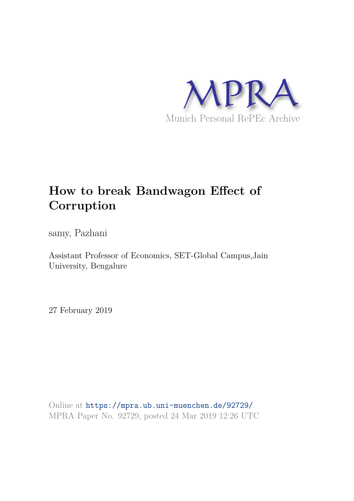

# **How to break Bandwagon Effect of Corruption**

samy, Pazhani

Assistant Professor of Economics, SET-Global Campus,Jain University, Bengalure

27 February 2019

Online at https://mpra.ub.uni-muenchen.de/92729/ MPRA Paper No. 92729, posted 24 Mar 2019 12:26 UTC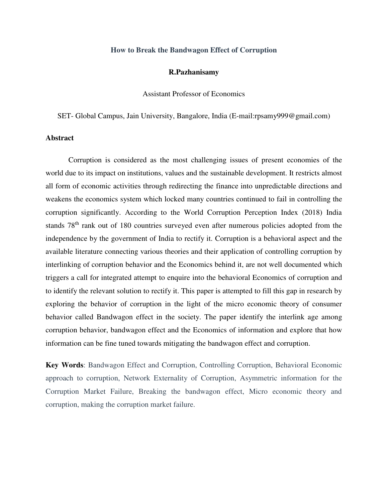## **How to Break the Bandwagon Effect of Corruption**

#### **R.Pazhanisamy**

Assistant Professor of Economics

SET- Global Campus, Jain University, Bangalore, India (E-mail:rpsamy999@gmail.com)

## **Abstract**

 Corruption is considered as the most challenging issues of present economies of the world due to its impact on institutions, values and the sustainable development. It restricts almost all form of economic activities through redirecting the finance into unpredictable directions and weakens the economics system which locked many countries continued to fail in controlling the corruption significantly. According to the World Corruption Perception Index (2018) India stands 78th rank out of 180 countries surveyed even after numerous policies adopted from the independence by the government of India to rectify it. Corruption is a behavioral aspect and the available literature connecting various theories and their application of controlling corruption by interlinking of corruption behavior and the Economics behind it, are not well documented which triggers a call for integrated attempt to enquire into the behavioral Economics of corruption and to identify the relevant solution to rectify it. This paper is attempted to fill this gap in research by exploring the behavior of corruption in the light of the micro economic theory of consumer behavior called Bandwagon effect in the society. The paper identify the interlink age among corruption behavior, bandwagon effect and the Economics of information and explore that how information can be fine tuned towards mitigating the bandwagon effect and corruption.

**Key Words**: Bandwagon Effect and Corruption, Controlling Corruption, Behavioral Economic approach to corruption, Network Externality of Corruption, Asymmetric information for the Corruption Market Failure, Breaking the bandwagon effect, Micro economic theory and corruption, making the corruption market failure.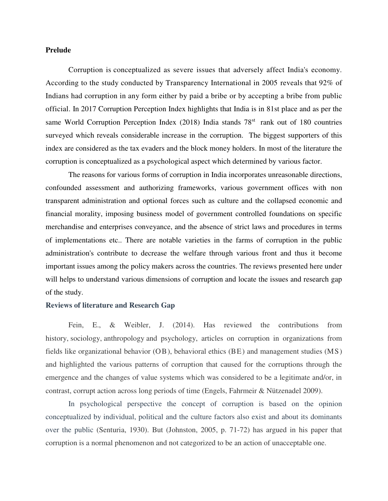## **Prelude**

 Corruption is conceptualized as severe issues that adversely affect India's economy. According to the study conducted by Transparency International in 2005 reveals that 92% of Indians had corruption in any form either by paid a bribe or by accepting a bribe from public official. In 2017 Corruption Perception Index highlights that India is in 81st place and as per the same World Corruption Perception Index (2018) India stands 78<sup>st</sup> rank out of 180 countries surveyed which reveals considerable increase in the corruption. The biggest supporters of this index are considered as the tax evaders and the block money holders. In most of the literature the corruption is conceptualized as a psychological aspect which determined by various factor.

 The reasons for various forms of corruption in India incorporates unreasonable directions, confounded assessment and authorizing frameworks, various government offices with non transparent administration and optional forces such as culture and the collapsed economic and financial morality, imposing business model of government controlled foundations on specific merchandise and enterprises conveyance, and the absence of strict laws and procedures in terms of implementations etc.. There are notable varieties in the farms of corruption in the public administration's contribute to decrease the welfare through various front and thus it become important issues among the policy makers across the countries. The reviews presented here under will helps to understand various dimensions of corruption and locate the issues and research gap of the study.

### **Reviews of literature and Research Gap**

 Fein, E., & Weibler, J. (2014). Has reviewed the contributions from history, sociology, anthropology and psychology, articles on corruption in organizations from fields like organizational behavior (OB), behavioral ethics (BE) and management studies (MS) and highlighted the various patterns of corruption that caused for the corruptions through the emergence and the changes of value systems which was considered to be a legitimate and/or, in contrast, corrupt action across long periods of time (Engels, Fahrmeir & Nützenadel 2009).

 In psychological perspective the concept of corruption is based on the opinion conceptualized by individual, political and the culture factors also exist and about its dominants over the public (Senturia, 1930). But (Johnston, 2005, p. 71-72) has argued in his paper that corruption is a normal phenomenon and not categorized to be an action of unacceptable one.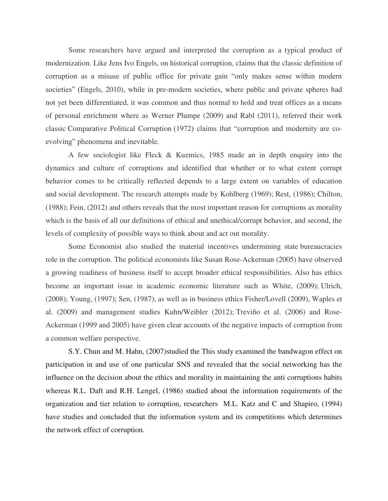Some researchers have argued and interpreted the corruption as a typical product of modernization. Like Jens Ivo Engels, on historical corruption, claims that the classic definition of corruption as a misuse of public office for private gain "only makes sense within modern societies" (Engels, 2010), while in pre-modern societies, where public and private spheres had not yet been differentiated, it was common and thus normal to hold and treat offices as a means of personal enrichment where as Werner Plumpe (2009) and Rabl (2011), referred their work classic Comparative Political Corruption (1972) claims that "corruption and modernity are coevolving" phenomena and inevitable.

 A few sociologist like Fleck & Kuzmics, 1985 made an in depth enquiry into the dynamics and culture of corruptions and identified that whether or to what extent corrupt behavior comes to be critically reflected depends to a large extent on variables of education and social development. The research attempts made by Kohlberg (1969); Rest, (1986); Chilton, (1988); Fein, (2012) and others reveals that the most important reason for corruptions as morality which is the basis of all our definitions of ethical and unethical/corrupt behavior, and second, the levels of complexity of possible ways to think about and act out morality.

 Some Economist also studied the material incentives undermining state bureaucracies role in the corruption. The political economists like Susan Rose-Ackerman (2005) have observed a growing readiness of business itself to accept broader ethical responsibilities. Also has ethics become an important issue in academic economic literature such as White, (2009); Ulrich, (2008); Young, (1997); Sen, (1987), as well as in business ethics Fisher/Lovell (2009), Waples et al. (2009) and management studies Kuhn/Weibler (2012); Treviño et al. (2006) and Rose-Ackerman (1999 and 2005) have given clear accounts of the negative impacts of corruption from a common welfare perspective.

 S.Y. Chun and M. Hahn, (2007)studied the This study examined the bandwagon effect on participation in and use of one particular SNS and revealed that the social networking has the influence on the decision about the ethics and morality in maintaining the anti corruptions habits whereas R.L. Daft and R.H. Lengel, (1986) studied about the information requirements of the organization and tier relation to corruption, researchers M.L. Katz and C and Shapiro, (1994) have studies and concluded that the information system and its competitions which determines the network effect of corruption.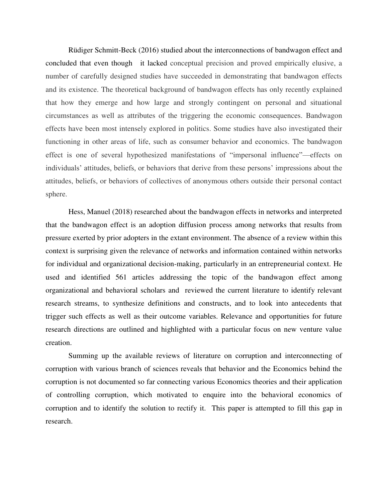[Rüdiger Schmitt-Beck](http://www.mzes.uni-mannheim.de/d7/en/profiles/ruediger-schmitt-beck) (2016) studied about the interconnections of bandwagon effect and concluded that even though it lacked conceptual precision and proved empirically elusive, a number of carefully designed studies have succeeded in demonstrating that bandwagon effects and its existence. The theoretical background of bandwagon effects has only recently explained that how they emerge and how large and strongly contingent on personal and situational circumstances as well as attributes of the triggering the economic consequences. Bandwagon effects have been most intensely explored in politics. Some studies have also investigated their functioning in other areas of life, such as consumer behavior and economics. The bandwagon effect is one of several hypothesized manifestations of "impersonal influence"—effects on individuals' attitudes, beliefs, or behaviors that derive from these persons' impressions about the attitudes, beliefs, or behaviors of collectives of anonymous others outside their personal contact sphere.

 Hess, Manuel (2018) researched about the bandwagon effects in networks and interpreted that the bandwagon effect is an adoption diffusion process among networks that results from pressure exerted by prior adopters in the extant environment. The absence of a review within this context is surprising given the relevance of networks and information contained within networks for individual and organizational decision-making, particularly in an entrepreneurial context. He used and identified 561 articles addressing the topic of the bandwagon effect among organizational and behavioral scholars and reviewed the current literature to identify relevant research streams, to synthesize definitions and constructs, and to look into antecedents that trigger such effects as well as their outcome variables. Relevance and opportunities for future research directions are outlined and highlighted with a particular focus on new venture value creation.

 Summing up the available reviews of literature on corruption and interconnecting of corruption with various branch of sciences reveals that behavior and the Economics behind the corruption is not documented so far connecting various Economics theories and their application of controlling corruption, which motivated to enquire into the behavioral economics of corruption and to identify the solution to rectify it. This paper is attempted to fill this gap in research.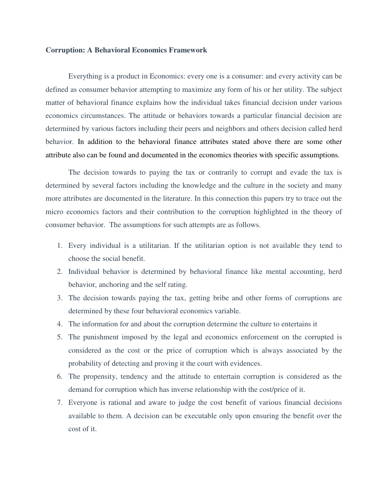### **Corruption: A Behavioral Economics Framework**

 Everything is a product in Economics: every one is a consumer: and every activity can be defined as consumer behavior attempting to maximize any form of his or her utility. The subject matter of behavioral finance explains how the individual takes financial decision under various economics circumstances. The attitude or behaviors towards a particular financial decision are determined by various factors including their peers and neighbors and others decision called herd behavior. In addition to the behavioral finance attributes stated above there are some other attribute also can be found and documented in the economics theories with specific assumptions.

 The decision towards to paying the tax or contrarily to corrupt and evade the tax is determined by several factors including the knowledge and the culture in the society and many more attributes are documented in the literature. In this connection this papers try to trace out the micro economics factors and their contribution to the corruption highlighted in the theory of consumer behavior. The assumptions for such attempts are as follows.

- 1. Every individual is a utilitarian. If the utilitarian option is not available they tend to choose the social benefit.
- 2. Individual behavior is determined by behavioral finance like mental accounting, herd behavior, anchoring and the self rating.
- 3. The decision towards paying the tax, getting bribe and other forms of corruptions are determined by these four behavioral economics variable.
- 4. The information for and about the corruption determine the culture to entertains it
- 5. The punishment imposed by the legal and economics enforcement on the corrupted is considered as the cost or the price of corruption which is always associated by the probability of detecting and proving it the court with evidences.
- 6. The propensity, tendency and the attitude to entertain corruption is considered as the demand for corruption which has inverse relationship with the cost/price of it.
- 7. Everyone is rational and aware to judge the cost benefit of various financial decisions available to them. A decision can be executable only upon ensuring the benefit over the cost of it.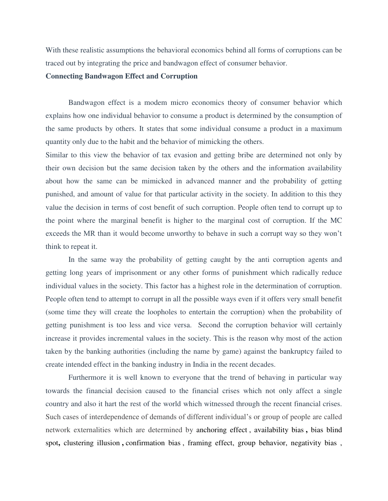With these realistic assumptions the behavioral economics behind all forms of corruptions can be traced out by integrating the price and bandwagon effect of consumer behavior.

## **Connecting Bandwagon Effect and Corruption**

 Bandwagon effect is a modem micro economics theory of consumer behavior which explains how one individual behavior to consume a product is determined by the consumption of the same products by others. It states that some individual consume a product in a maximum quantity only due to the habit and the behavior of mimicking the others.

Similar to this view the behavior of tax evasion and getting bribe are determined not only by their own decision but the same decision taken by the others and the information availability about how the same can be mimicked in advanced manner and the probability of getting punished, and amount of value for that particular activity in the society. In addition to this they value the decision in terms of cost benefit of such corruption. People often tend to corrupt up to the point where the marginal benefit is higher to the marginal cost of corruption. If the MC exceeds the MR than it would become unworthy to behave in such a corrupt way so they won't think to repeat it.

 In the same way the probability of getting caught by the anti corruption agents and getting long years of imprisonment or any other forms of punishment which radically reduce individual values in the society. This factor has a highest role in the determination of corruption. People often tend to attempt to corrupt in all the possible ways even if it offers very small benefit (some time they will create the loopholes to entertain the corruption) when the probability of getting punishment is too less and vice versa. Second the corruption behavior will certainly increase it provides incremental values in the society. This is the reason why most of the action taken by the banking authorities (including the name by game) against the bankruptcy failed to create intended effect in the banking industry in India in the recent decades.

 Furthermore it is well known to everyone that the trend of behaving in particular way towards the financial decision caused to the financial crises which not only affect a single country and also it hart the rest of the world which witnessed through the recent financial crises. Such cases of interdependence of demands of different individual's or group of people are called network externalities which are determined by [anchoring effect](https://whatis.techtarget.com/definition/anchoring-effect) , [availability bias](https://whatis.techtarget.com/definition/availability-bias) **,** bias blind spot**,** clustering illusion **,** [confirmation bias](https://whatis.techtarget.com/definition/confirmation-bias) , [framing effect,](https://whatis.techtarget.com/definition/framing-effect) group behavior, [negativity bias](https://whatis.techtarget.com/definition/negativity-bias) ,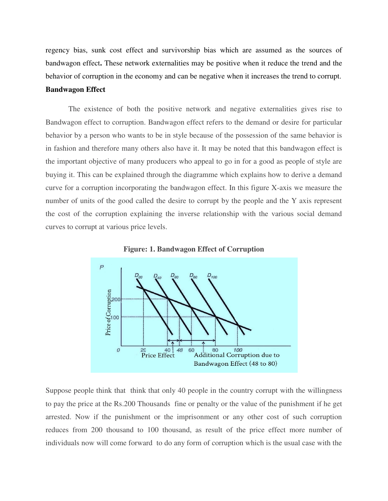regency bias, [sunk cost effect](https://whatis.techtarget.com/definition/sunk-cost-effect) and survivorship bias which are assumed as the sources of [bandwagon effect](https://whatis.techtarget.com/definition/bandwagon-effect)**.** These network externalities may be positive when it reduce the trend and the behavior of corruption in the economy and can be negative when it increases the trend to corrupt. **Bandwagon Effect** 

 The existence of both the positive network and negative externalities gives rise to Bandwagon effect to corruption. Bandwagon effect refers to the demand or desire for particular behavior by a person who wants to be in style because of the possession of the same behavior is in fashion and therefore many others also have it. It may be noted that this bandwagon effect is the important objective of many producers who appeal to go in for a good as people of style are buying it. This can be explained through the diagramme which explains how to derive a demand curve for a corruption incorporating the bandwagon effect. In this figure X-axis we measure the number of units of the good called the desire to corrupt by the people and the Y axis represent the cost of the corruption explaining the inverse relationship with the various social demand curves to corrupt at various price levels.





Suppose people think that think that only 40 people in the country corrupt with the willingness to pay the price at the Rs.200 Thousands fine or penalty or the value of the punishment if he get arrested. Now if the punishment or the imprisonment or any other cost of such corruption reduces from 200 thousand to 100 thousand, as result of the price effect more number of individuals now will come forward to do any form of corruption which is the usual case with the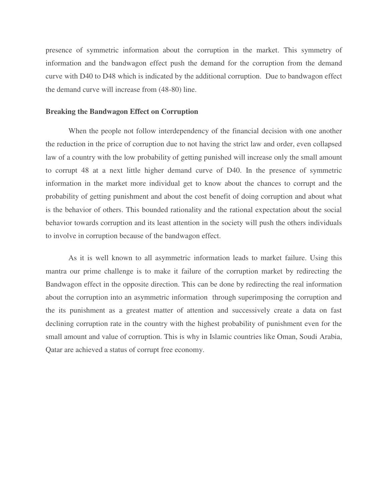presence of symmetric information about the corruption in the market. This symmetry of information and the bandwagon effect push the demand for the corruption from the demand curve with D40 to D48 which is indicated by the additional corruption. Due to bandwagon effect the demand curve will increase from (48-80) line.

## **Breaking the Bandwagon Effect on Corruption**

 When the people not follow interdependency of the financial decision with one another the reduction in the price of corruption due to not having the strict law and order, even collapsed law of a country with the low probability of getting punished will increase only the small amount to corrupt 48 at a next little higher demand curve of D40. In the presence of symmetric information in the market more individual get to know about the chances to corrupt and the probability of getting punishment and about the cost benefit of doing corruption and about what is the behavior of others. This bounded rationality and the rational expectation about the social behavior towards corruption and its least attention in the society will push the others individuals to involve in corruption because of the bandwagon effect.

 As it is well known to all asymmetric information leads to market failure. Using this mantra our prime challenge is to make it failure of the corruption market by redirecting the Bandwagon effect in the opposite direction. This can be done by redirecting the real information about the corruption into an asymmetric information through superimposing the corruption and the its punishment as a greatest matter of attention and successively create a data on fast declining corruption rate in the country with the highest probability of punishment even for the small amount and value of corruption. This is why in Islamic countries like Oman, Soudi Arabia, Qatar are achieved a status of corrupt free economy.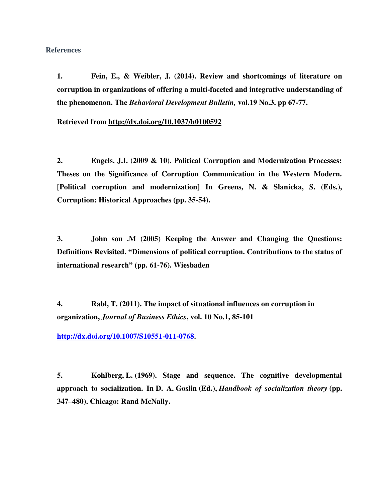## **References**

**1. Fein, E., & Weibler, J. (2014). Review and shortcomings of literature on corruption in organizations of offering a multi-faceted and integrative understanding of the phenomenon. The** *Behavioral Development Bulletin,* **vol.19 No.3. pp 67-77.** 

**Retrieved from<http://dx.doi.org/10.1037/h0100592>**

**2. Engels, J.I. (2009 & 10). Political Corruption and Modernization Processes: Theses on the Significance of Corruption Communication in the Western Modern. [Political corruption and modernization] In Greens, N. & Slanicka, S. (Eds.), Corruption: Historical Approaches (pp. 35-54).** 

**3. John son .M (2005) Keeping the Answer and Changing the Questions: Definitions Revisited. "Dimensions of political corruption. Contributions to the status of international research" (pp. 61-76). Wiesbaden** 

**4. Rabl, T. (2011). The impact of situational influences on corruption in organization,** *Journal of Business Ethics***, vol. 10 No.1, 85-101** 

**[http://dx.doi.org/10.1007/S10551-011-0768.](http://dx.doi.org/10.1007/S10551-011-0768)** 

**5. Kohlberg, L. (1969). Stage and sequence. The cognitive developmental approach to socialization. In D. A. Goslin (Ed.),** *Handbook of socialization theory* **(pp. 347–480). Chicago: Rand McNally.**